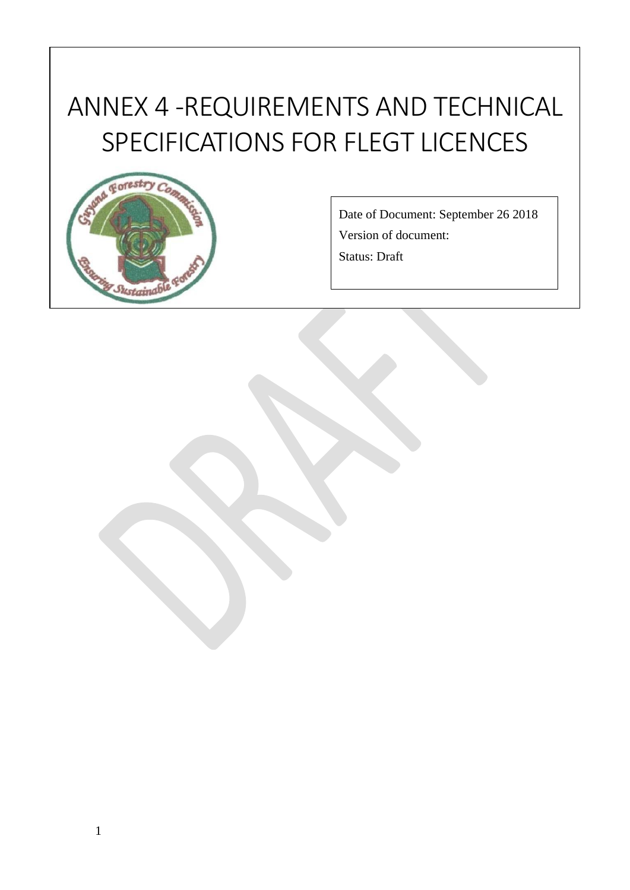# **<sup>x</sup>** ANNEX 4 -REQUIREMENTS AND TECHNICAL SPECIFICATIONS FOR FLEGT LICENCES



Date of Document: September 26 2018 Version of document:

Status: Draft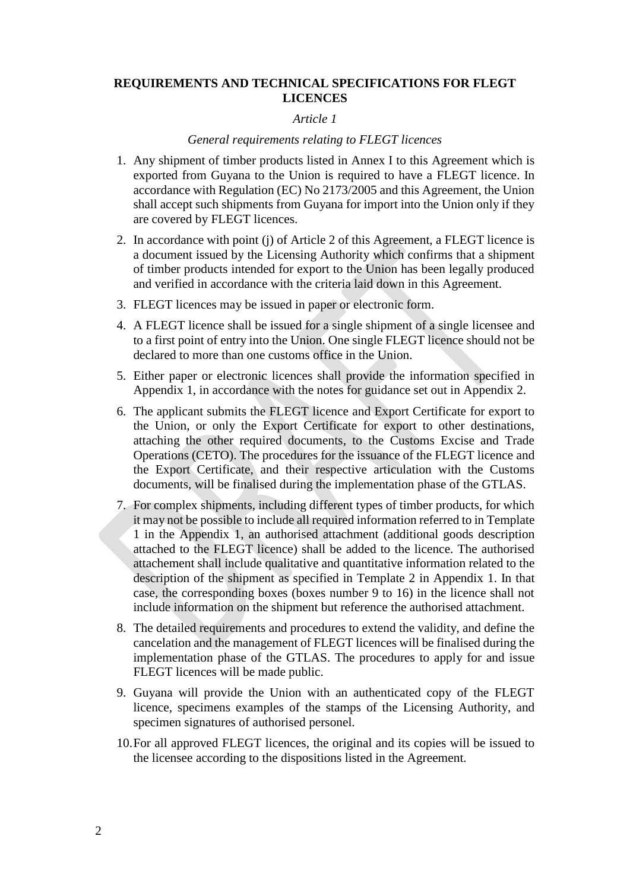#### **REQUIREMENTS AND TECHNICAL SPECIFICATIONS FOR FLEGT LICENCES**

#### *Article 1*

#### *General requirements relating to FLEGT licences*

- 1. Any shipment of timber products listed in Annex I to this Agreement which is exported from Guyana to the Union is required to have a FLEGT licence. In accordance with Regulation (EC) No 2173/2005 and this Agreement, the Union shall accept such shipments from Guyana for import into the Union only if they are covered by FLEGT licences.
- 2. In accordance with point (j) of Article 2 of this Agreement, a FLEGT licence is a document issued by the Licensing Authority which confirms that a shipment of timber products intended for export to the Union has been legally produced and verified in accordance with the criteria laid down in this Agreement.
- 3. FLEGT licences may be issued in paper or electronic form.
- 4. A FLEGT licence shall be issued for a single shipment of a single licensee and to a first point of entry into the Union. One single FLEGT licence should not be declared to more than one customs office in the Union.
- 5. Either paper or electronic licences shall provide the information specified in Appendix 1, in accordance with the notes for guidance set out in Appendix 2.
- 6. The applicant submits the FLEGT licence and Export Certificate for export to the Union, or only the Export Certificate for export to other destinations, attaching the other required documents, to the Customs Excise and Trade Operations (CETO). The procedures for the issuance of the FLEGT licence and the Export Certificate, and their respective articulation with the Customs documents, will be finalised during the implementation phase of the GTLAS.
- 7. For complex shipments, including different types of timber products, for which it may not be possible to include all required information referred to in Template 1 in the Appendix 1, an authorised attachment (additional goods description attached to the FLEGT licence) shall be added to the licence. The authorised attachement shall include qualitative and quantitative information related to the description of the shipment as specified in Template 2 in Appendix 1. In that case, the corresponding boxes (boxes number 9 to 16) in the licence shall not include information on the shipment but reference the authorised attachment.
- 8. The detailed requirements and procedures to extend the validity, and define the cancelation and the management of FLEGT licences will be finalised during the implementation phase of the GTLAS. The procedures to apply for and issue FLEGT licences will be made public.
- 9. Guyana will provide the Union with an authenticated copy of the FLEGT licence, specimens examples of the stamps of the Licensing Authority, and specimen signatures of authorised personel.
- 10.For all approved FLEGT licences, the original and its copies will be issued to the licensee according to the dispositions listed in the Agreement.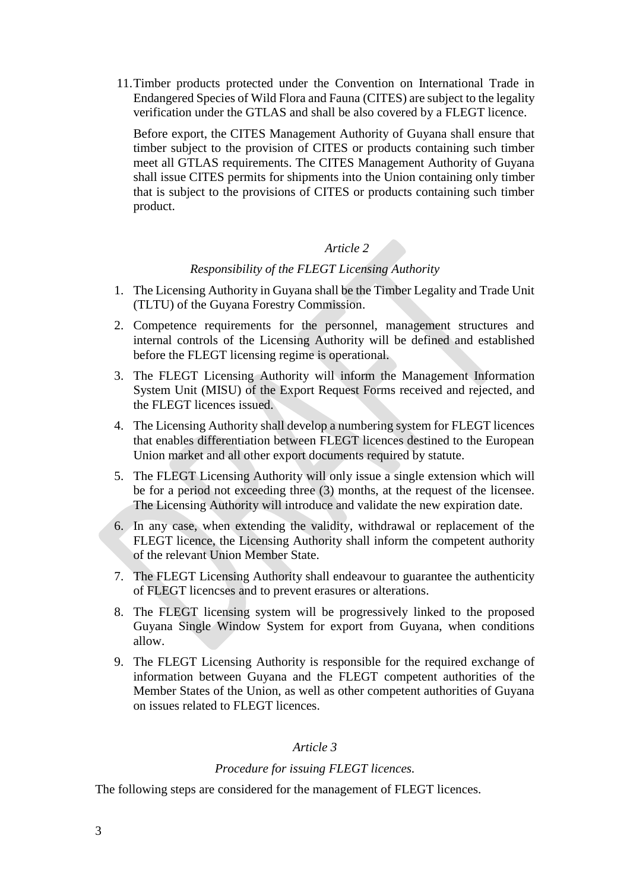11.Timber products protected under the Convention on International Trade in Endangered Species of Wild Flora and Fauna (CITES) are subject to the legality verification under the GTLAS and shall be also covered by a FLEGT licence.

Before export, the CITES Management Authority of Guyana shall ensure that timber subject to the provision of CITES or products containing such timber meet all GTLAS requirements. The CITES Management Authority of Guyana shall issue CITES permits for shipments into the Union containing only timber that is subject to the provisions of CITES or products containing such timber product.

# *Article 2*

#### *Responsibility of the FLEGT Licensing Authority*

- 1. The Licensing Authority in Guyana shall be the Timber Legality and Trade Unit (TLTU) of the Guyana Forestry Commission.
- 2. Competence requirements for the personnel, management structures and internal controls of the Licensing Authority will be defined and established before the FLEGT licensing regime is operational.
- 3. The FLEGT Licensing Authority will inform the Management Information System Unit (MISU) of the Export Request Forms received and rejected, and the FLEGT licences issued.
- 4. The Licensing Authority shall develop a numbering system for FLEGT licences that enables differentiation between FLEGT licences destined to the European Union market and all other export documents required by statute.
- 5. The FLEGT Licensing Authority will only issue a single extension which will be for a period not exceeding three (3) months, at the request of the licensee. The Licensing Authority will introduce and validate the new expiration date.
- 6. In any case, when extending the validity, withdrawal or replacement of the FLEGT licence, the Licensing Authority shall inform the competent authority of the relevant Union Member State.
- 7. The FLEGT Licensing Authority shall endeavour to guarantee the authenticity of FLEGT licencses and to prevent erasures or alterations.
- 8. The FLEGT licensing system will be progressively linked to the proposed Guyana Single Window System for export from Guyana, when conditions allow.
- 9. The FLEGT Licensing Authority is responsible for the required exchange of information between Guyana and the FLEGT competent authorities of the Member States of the Union, as well as other competent authorities of Guyana on issues related to FLEGT licences.

#### *Article 3*

#### *Procedure for issuing FLEGT licences.*

The following steps are considered for the management of FLEGT licences.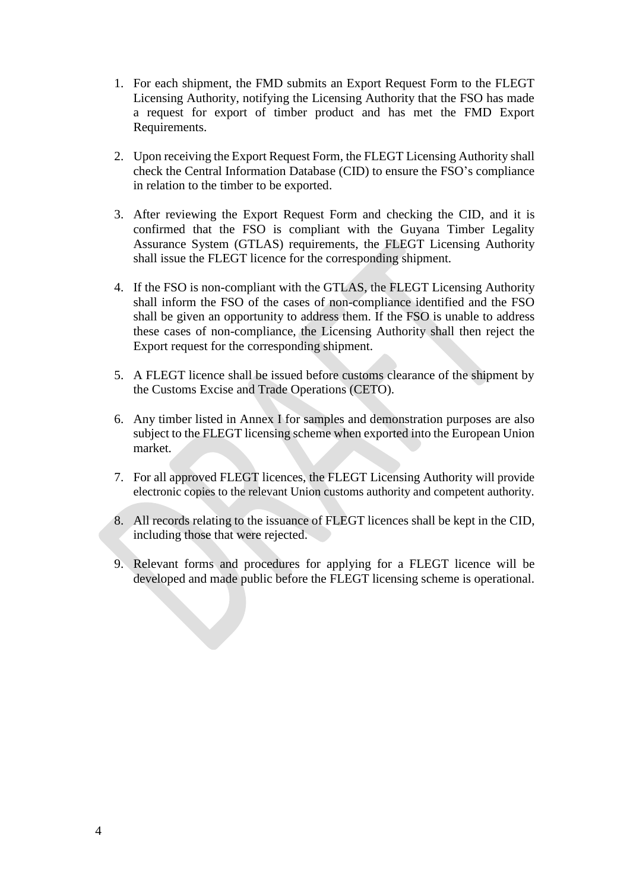- 1. For each shipment, the FMD submits an Export Request Form to the FLEGT Licensing Authority, notifying the Licensing Authority that the FSO has made a request for export of timber product and has met the FMD Export Requirements.
- 2. Upon receiving the Export Request Form, the FLEGT Licensing Authority shall check the Central Information Database (CID) to ensure the FSO's compliance in relation to the timber to be exported.
- 3. After reviewing the Export Request Form and checking the CID, and it is confirmed that the FSO is compliant with the Guyana Timber Legality Assurance System (GTLAS) requirements, the FLEGT Licensing Authority shall issue the FLEGT licence for the corresponding shipment.
- 4. If the FSO is non-compliant with the GTLAS, the FLEGT Licensing Authority shall inform the FSO of the cases of non-compliance identified and the FSO shall be given an opportunity to address them. If the FSO is unable to address these cases of non-compliance, the Licensing Authority shall then reject the Export request for the corresponding shipment.
- 5. A FLEGT licence shall be issued before customs clearance of the shipment by the Customs Excise and Trade Operations (CETO).
- 6. Any timber listed in Annex I for samples and demonstration purposes are also subject to the FLEGT licensing scheme when exported into the European Union market.
- 7. For all approved FLEGT licences, the FLEGT Licensing Authority will provide electronic copies to the relevant Union customs authority and competent authority.
- 8. All records relating to the issuance of FLEGT licences shall be kept in the CID, including those that were rejected.
- 9. Relevant forms and procedures for applying for a FLEGT licence will be developed and made public before the FLEGT licensing scheme is operational.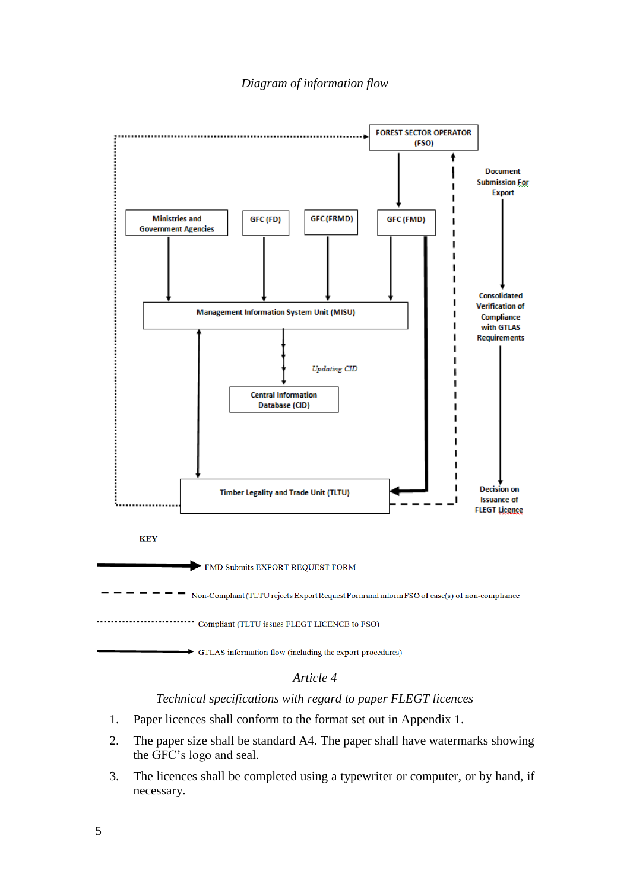

#### *Technical specifications with regard to paper FLEGT licences*

- 1. Paper licences shall conform to the format set out in Appendix 1.
- 2. The paper size shall be standard A4. The paper shall have watermarks showing the GFC's logo and seal.
- 3. The licences shall be completed using a typewriter or computer, or by hand, if necessary.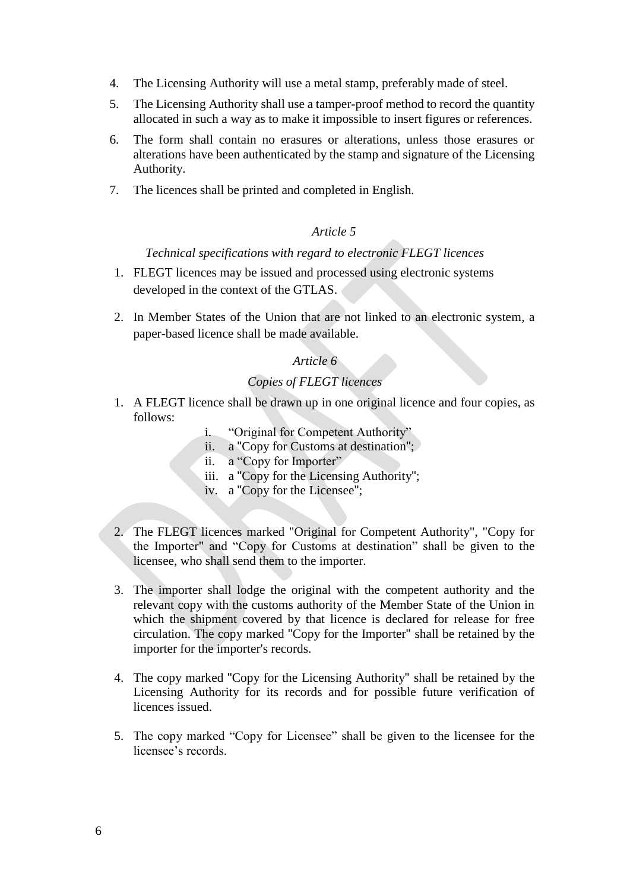- 4. The Licensing Authority will use a metal stamp, preferably made of steel.
- 5. The Licensing Authority shall use a tamper-proof method to record the quantity allocated in such a way as to make it impossible to insert figures or references.
- 6. The form shall contain no erasures or alterations, unless those erasures or alterations have been authenticated by the stamp and signature of the Licensing Authority.
- 7. The licences shall be printed and completed in English.

### *Technical specifications with regard to electronic FLEGT licences*

- 1. FLEGT licences may be issued and processed using electronic systems developed in the context of the GTLAS.
- 2. In Member States of the Union that are not linked to an electronic system, a paper-based licence shall be made available.

#### *Article 6*

#### *Copies of FLEGT licences*

- 1. A FLEGT licence shall be drawn up in one original licence and four copies, as follows:
	- i. "Original for Competent Authority"
	- ii. a "Copy for Customs at destination";
	- ii. a "Copy for Importer"
	- iii. a "Copy for the Licensing Authority";
	- iv. a "Copy for the Licensee";
- 2. The FLEGT licences marked "Original for Competent Authority", "Copy for the Importer" and "Copy for Customs at destination" shall be given to the licensee, who shall send them to the importer.
- 3. The importer shall lodge the original with the competent authority and the relevant copy with the customs authority of the Member State of the Union in which the shipment covered by that licence is declared for release for free circulation. The copy marked "Copy for the Importer" shall be retained by the importer for the importer's records.
- 4. The copy marked "Copy for the Licensing Authority" shall be retained by the Licensing Authority for its records and for possible future verification of licences issued.
- 5. The copy marked "Copy for Licensee" shall be given to the licensee for the licensee's records.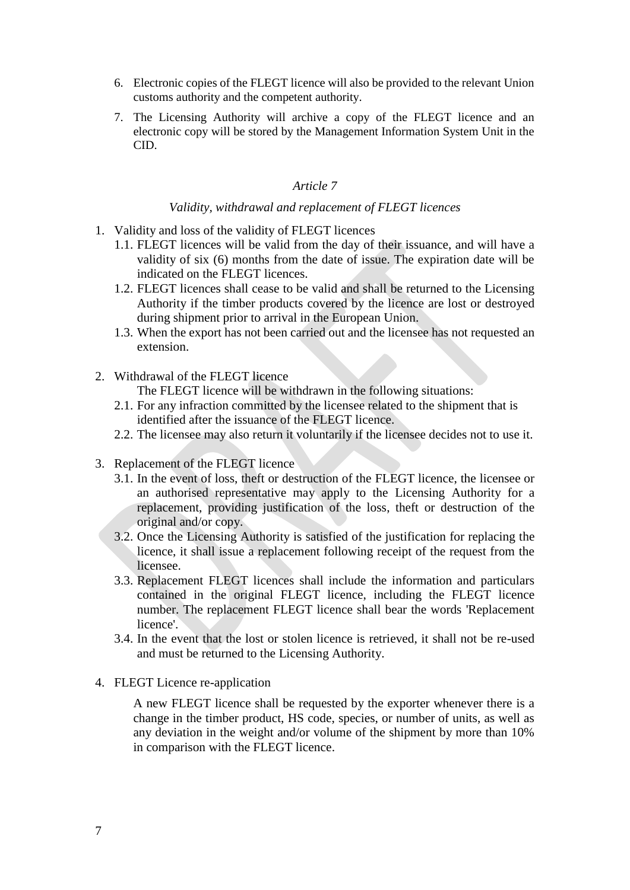- 6. Electronic copies of the FLEGT licence will also be provided to the relevant Union customs authority and the competent authority.
- 7. The Licensing Authority will archive a copy of the FLEGT licence and an electronic copy will be stored by the Management Information System Unit in the CID.

# *Validity, withdrawal and replacement of FLEGT licences*

- 1. Validity and loss of the validity of FLEGT licences
	- 1.1. FLEGT licences will be valid from the day of their issuance, and will have a validity of six (6) months from the date of issue. The expiration date will be indicated on the FLEGT licences.
	- 1.2. FLEGT licences shall cease to be valid and shall be returned to the Licensing Authority if the timber products covered by the licence are lost or destroyed during shipment prior to arrival in the European Union.
	- 1.3. When the export has not been carried out and the licensee has not requested an extension.
- 2. Withdrawal of the FLEGT licence
	- The FLEGT licence will be withdrawn in the following situations:
	- 2.1. For any infraction committed by the licensee related to the shipment that is identified after the issuance of the FLEGT licence.
	- 2.2. The licensee may also return it voluntarily if the licensee decides not to use it.
- 3. Replacement of the FLEGT licence
	- 3.1. In the event of loss, theft or destruction of the FLEGT licence, the licensee or an authorised representative may apply to the Licensing Authority for a replacement, providing justification of the loss, theft or destruction of the original and/or copy.
	- 3.2. Once the Licensing Authority is satisfied of the justification for replacing the licence, it shall issue a replacement following receipt of the request from the licensee.
	- 3.3. Replacement FLEGT licences shall include the information and particulars contained in the original FLEGT licence, including the FLEGT licence number. The replacement FLEGT licence shall bear the words 'Replacement licence'.
	- 3.4. In the event that the lost or stolen licence is retrieved, it shall not be re-used and must be returned to the Licensing Authority.
- 4. FLEGT Licence re-application

A new FLEGT licence shall be requested by the exporter whenever there is a change in the timber product, HS code, species, or number of units, as well as any deviation in the weight and/or volume of the shipment by more than 10% in comparison with the FLEGT licence.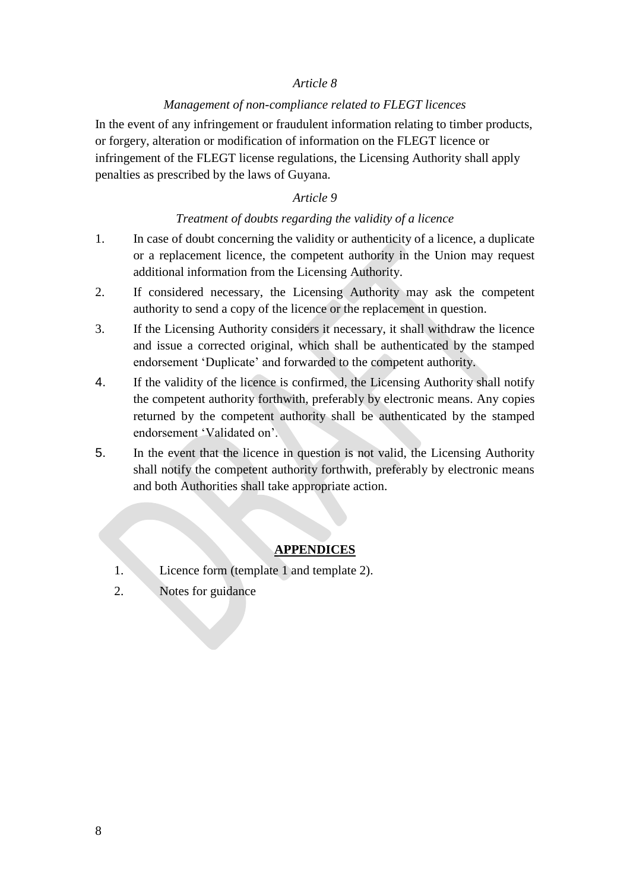#### *Management of non-compliance related to FLEGT licences*

In the event of any infringement or fraudulent information relating to timber products, or forgery, alteration or modification of information on the FLEGT licence or infringement of the FLEGT license regulations, the Licensing Authority shall apply penalties as prescribed by the laws of Guyana.

### *Article 9*

### *Treatment of doubts regarding the validity of a licence*

- 1. In case of doubt concerning the validity or authenticity of a licence, a duplicate or a replacement licence, the competent authority in the Union may request additional information from the Licensing Authority.
- 2. If considered necessary, the Licensing Authority may ask the competent authority to send a copy of the licence or the replacement in question.
- 3. If the Licensing Authority considers it necessary, it shall withdraw the licence and issue a corrected original, which shall be authenticated by the stamped endorsement 'Duplicate' and forwarded to the competent authority.
- 4. If the validity of the licence is confirmed, the Licensing Authority shall notify the competent authority forthwith, preferably by electronic means. Any copies returned by the competent authority shall be authenticated by the stamped endorsement 'Validated on'.
- 5. In the event that the licence in question is not valid, the Licensing Authority shall notify the competent authority forthwith, preferably by electronic means and both Authorities shall take appropriate action.

#### **APPENDICES**

- 1. Licence form (template 1 and template 2).
- 2. Notes for guidance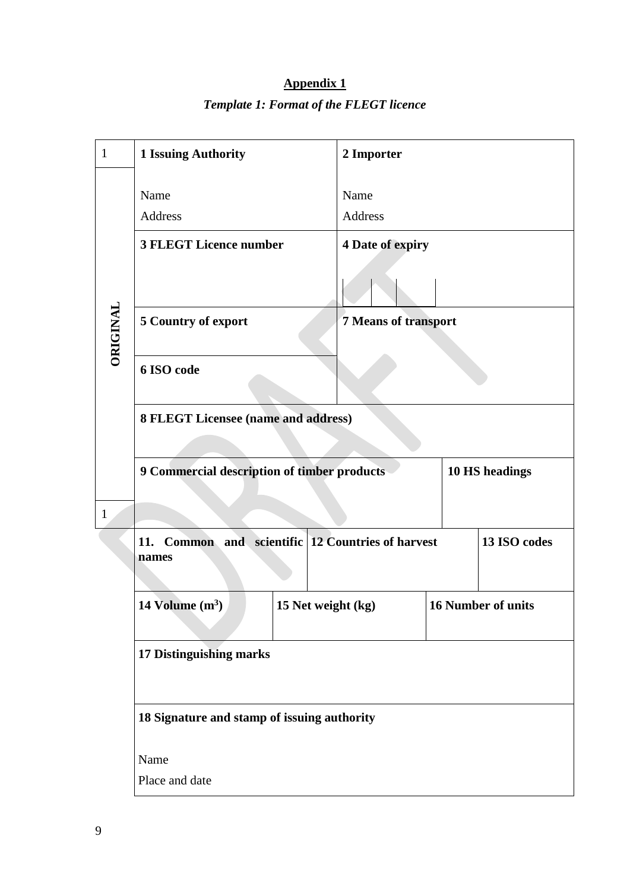| $\mathbf{1}$ | <b>1 Issuing Authority</b>                                    | 2 Importer                                      |                |  |  |  |
|--------------|---------------------------------------------------------------|-------------------------------------------------|----------------|--|--|--|
| ORIGINAL     | Name                                                          | Name                                            |                |  |  |  |
|              | <b>Address</b>                                                | <b>Address</b>                                  |                |  |  |  |
|              | <b>3 FLEGT Licence number</b>                                 | <b>4 Date of expiry</b>                         |                |  |  |  |
|              |                                                               |                                                 |                |  |  |  |
|              | 5 Country of export                                           | 7 Means of transport                            |                |  |  |  |
|              | 6 ISO code                                                    |                                                 |                |  |  |  |
|              | 8 FLEGT Licensee (name and address)                           |                                                 |                |  |  |  |
|              | 9 Commercial description of timber products                   |                                                 | 10 HS headings |  |  |  |
| $\mathbf{1}$ |                                                               |                                                 |                |  |  |  |
|              | Common and scientific 12 Countries of harvest<br>11.<br>names |                                                 | 13 ISO codes   |  |  |  |
|              | 14 Volume $(m^3)$                                             | <b>16 Number of units</b><br>15 Net weight (kg) |                |  |  |  |
|              | 17 Distinguishing marks                                       |                                                 |                |  |  |  |
|              | 18 Signature and stamp of issuing authority                   |                                                 |                |  |  |  |
|              | Name                                                          |                                                 |                |  |  |  |
|              | Place and date                                                |                                                 |                |  |  |  |

# **Appendix 1** *Template 1: Format of the FLEGT licence*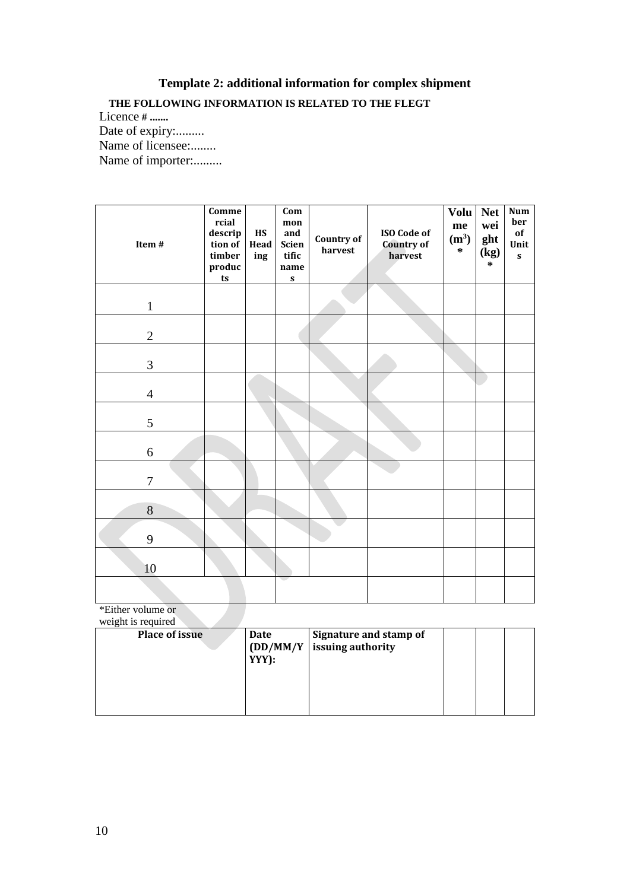# **Template 2: additional information for complex shipment**

# **THE FOLLOWING INFORMATION IS RELATED TO THE FLEGT**

Licence **# .......** Date of expiry:......... Name of licensee:........ Name of importer:.........

| Item#          | Comme<br>rcial<br>descrip<br>tion of<br>timber<br>produc<br>ts | HS<br>Head<br>ing | $\overline{\text{Com}}$<br>$mon$<br>and<br>Scien<br>tific<br>name<br>$\boldsymbol{\mathsf{s}}$ | Country of<br>harvest | <b>ISO Code of</b><br><b>Country of</b><br>harvest | <b>Volu</b><br>me<br>(m <sup>3</sup> )<br>$\ast$ | <b>Net</b><br>wei<br>ght<br>(kg)<br>$\ast$ | <b>Num</b><br>ber<br>of<br>Unit<br>$\boldsymbol{\mathsf{s}}$ |
|----------------|----------------------------------------------------------------|-------------------|------------------------------------------------------------------------------------------------|-----------------------|----------------------------------------------------|--------------------------------------------------|--------------------------------------------|--------------------------------------------------------------|
| $\mathbf{1}$   |                                                                |                   |                                                                                                |                       |                                                    |                                                  |                                            |                                                              |
| $\overline{2}$ |                                                                |                   |                                                                                                |                       |                                                    |                                                  |                                            |                                                              |
| $\mathfrak{Z}$ |                                                                |                   |                                                                                                |                       |                                                    |                                                  |                                            |                                                              |
| $\overline{4}$ |                                                                |                   |                                                                                                |                       |                                                    |                                                  |                                            |                                                              |
| 5              |                                                                |                   |                                                                                                |                       |                                                    |                                                  |                                            |                                                              |
| 6              |                                                                |                   |                                                                                                |                       |                                                    |                                                  |                                            |                                                              |
| $\tau$         |                                                                |                   |                                                                                                |                       |                                                    |                                                  |                                            |                                                              |
| 8              |                                                                |                   |                                                                                                |                       |                                                    |                                                  |                                            |                                                              |
| 9              |                                                                |                   |                                                                                                |                       |                                                    |                                                  |                                            |                                                              |
| 10             |                                                                |                   |                                                                                                |                       |                                                    |                                                  |                                            |                                                              |
|                |                                                                |                   |                                                                                                |                       |                                                    |                                                  |                                            |                                                              |

\*Either volume or

| weight is required    |                 |                                                        |  |  |
|-----------------------|-----------------|--------------------------------------------------------|--|--|
| <b>Place of issue</b> | Date<br>$YYY$ : | Signature and stamp of<br>$(DD/MM/Y$ issuing authority |  |  |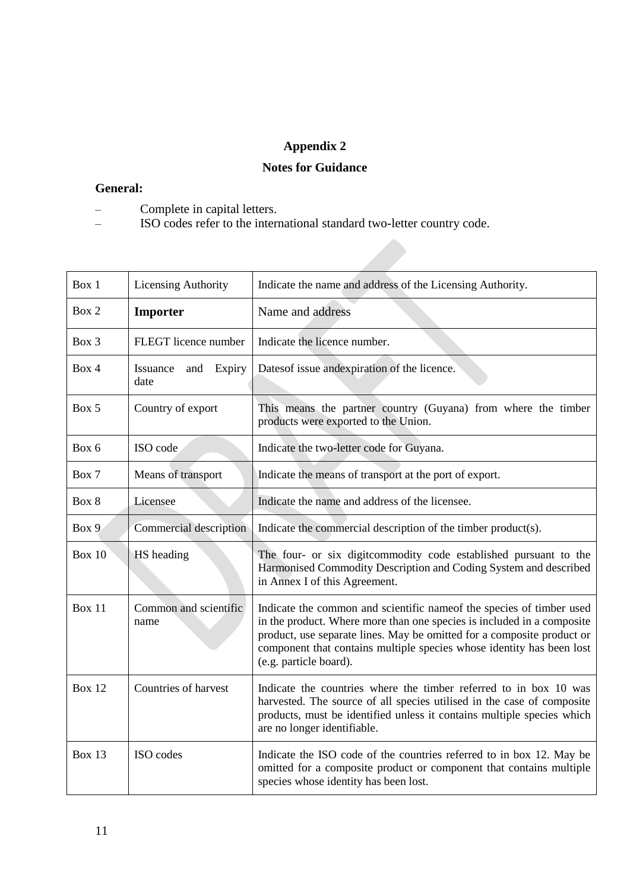# **Appendix 2**

# **Notes for Guidance**

#### **General:**

- Complete in capital letters.
- ISO codes refer to the international standard two-letter country code.

| Box 1         | <b>Licensing Authority</b>        | Indicate the name and address of the Licensing Authority.                                                                                                                                                                                                                                                                    |  |
|---------------|-----------------------------------|------------------------------------------------------------------------------------------------------------------------------------------------------------------------------------------------------------------------------------------------------------------------------------------------------------------------------|--|
| Box 2         | Importer                          | Name and address                                                                                                                                                                                                                                                                                                             |  |
| Box 3         | FLEGT licence number              | Indicate the licence number.                                                                                                                                                                                                                                                                                                 |  |
| Box 4         | Issuance<br>and<br>Expiry<br>date | Dates of issue and expiration of the licence.                                                                                                                                                                                                                                                                                |  |
| Box 5         | Country of export                 | This means the partner country (Guyana) from where the timber<br>products were exported to the Union.                                                                                                                                                                                                                        |  |
| Box 6         | ISO code                          | Indicate the two-letter code for Guyana.                                                                                                                                                                                                                                                                                     |  |
| Box 7         | Means of transport                | Indicate the means of transport at the port of export.                                                                                                                                                                                                                                                                       |  |
| Box 8         | Licensee                          | Indicate the name and address of the licensee.                                                                                                                                                                                                                                                                               |  |
| Box 9         | Commercial description            | Indicate the commercial description of the timber product(s).                                                                                                                                                                                                                                                                |  |
| <b>Box 10</b> | HS heading                        | The four- or six digitcommodity code established pursuant to the<br>Harmonised Commodity Description and Coding System and described<br>in Annex I of this Agreement.                                                                                                                                                        |  |
| <b>Box 11</b> | Common and scientific<br>name     | Indicate the common and scientific name of the species of timber used<br>in the product. Where more than one species is included in a composite<br>product, use separate lines. May be omitted for a composite product or<br>component that contains multiple species whose identity has been lost<br>(e.g. particle board). |  |
| <b>Box 12</b> | Countries of harvest              | Indicate the countries where the timber referred to in box 10 was<br>harvested. The source of all species utilised in the case of composite<br>products, must be identified unless it contains multiple species which<br>are no longer identifiable.                                                                         |  |
| Box 13        | ISO codes                         | Indicate the ISO code of the countries referred to in box 12. May be<br>omitted for a composite product or component that contains multiple<br>species whose identity has been lost.                                                                                                                                         |  |